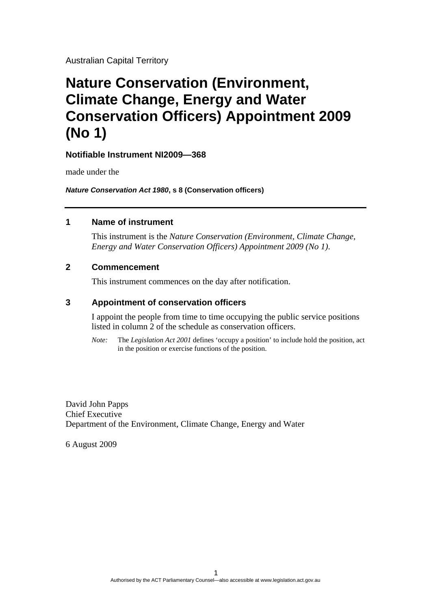Australian Capital Territory

# **Nature Conservation (Environment, Climate Change, Energy and Water Conservation Officers) Appointment 2009 (No 1)**

## **Notifiable Instrument NI2009—368**

made under the

*Nature Conservation Act 1980***, s 8 (Conservation officers)** 

### **1 Name of instrument**

This instrument is the *Nature Conservation (Environment, Climate Change, Energy and Water Conservation Officers) Appointment 2009 (No 1)*.

### **2 Commencement**

This instrument commences on the day after notification.

## **3 Appointment of conservation officers**

I appoint the people from time to time occupying the public service positions listed in column 2 of the schedule as conservation officers.

*Note:* The *Legislation Act 2001* defines 'occupy a position' to include hold the position, act in the position or exercise functions of the position.

David John Papps Chief Executive Department of the Environment, Climate Change, Energy and Water

6 August 2009